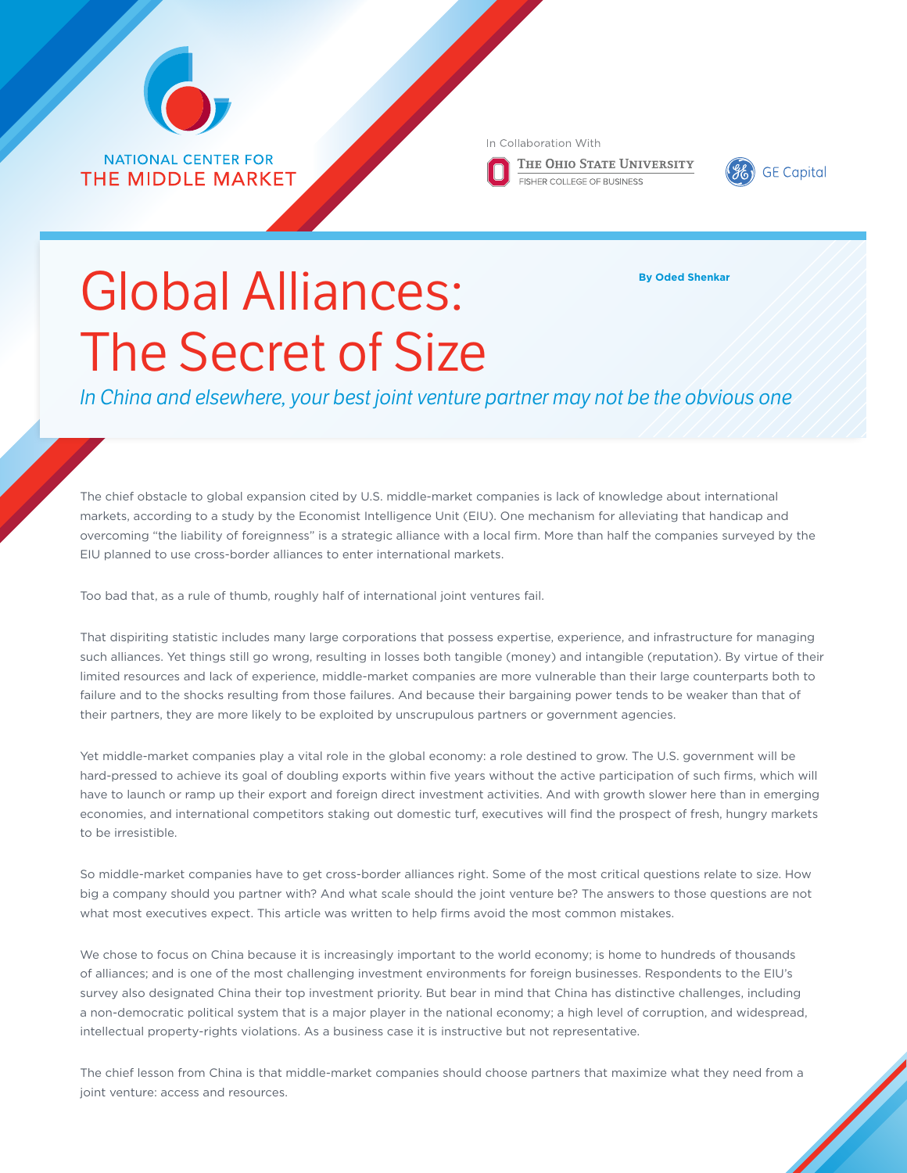

**NATIONAL CENTER FOR THE MIDDLE MARKET**  In Collaboration With

THE OHIO STATE UNIVERSITY **FISHER COLLEGE OF BUSINESS** 



## Global Alliances: The Secret of Size

**By Oded Shenkar**

*In China and elsewhere, your best joint venture partner may not be the obvious one*

The chief obstacle to global expansion cited by U.S. middle-market companies is lack of knowledge about international markets, according to a study by the Economist Intelligence Unit (EIU). One mechanism for alleviating that handicap and overcoming "the liability of foreignness" is a strategic alliance with a local firm. More than half the companies surveyed by the EIU planned to use cross-border alliances to enter international markets.

Too bad that, as a rule of thumb, roughly half of international joint ventures fail.

That dispiriting statistic includes many large corporations that possess expertise, experience, and infrastructure for managing such alliances. Yet things still go wrong, resulting in losses both tangible (money) and intangible (reputation). By virtue of their limited resources and lack of experience, middle-market companies are more vulnerable than their large counterparts both to failure and to the shocks resulting from those failures. And because their bargaining power tends to be weaker than that of their partners, they are more likely to be exploited by unscrupulous partners or government agencies.

Yet middle-market companies play a vital role in the global economy: a role destined to grow. The U.S. government will be hard-pressed to achieve its goal of doubling exports within five years without the active participation of such firms, which will have to launch or ramp up their export and foreign direct investment activities. And with growth slower here than in emerging economies, and international competitors staking out domestic turf, executives will find the prospect of fresh, hungry markets to be irresistible.

So middle-market companies have to get cross-border alliances right. Some of the most critical questions relate to size. How big a company should you partner with? And what scale should the joint venture be? The answers to those questions are not what most executives expect. This article was written to help firms avoid the most common mistakes.

We chose to focus on China because it is increasingly important to the world economy; is home to hundreds of thousands of alliances; and is one of the most challenging investment environments for foreign businesses. Respondents to the EIU's survey also designated China their top investment priority. But bear in mind that China has distinctive challenges, including a non-democratic political system that is a major player in the national economy; a high level of corruption, and widespread, intellectual property-rights violations. As a business case it is instructive but not representative.

The chief lesson from China is that middle-market companies should choose partners that maximize what they need from a joint venture: access and resources.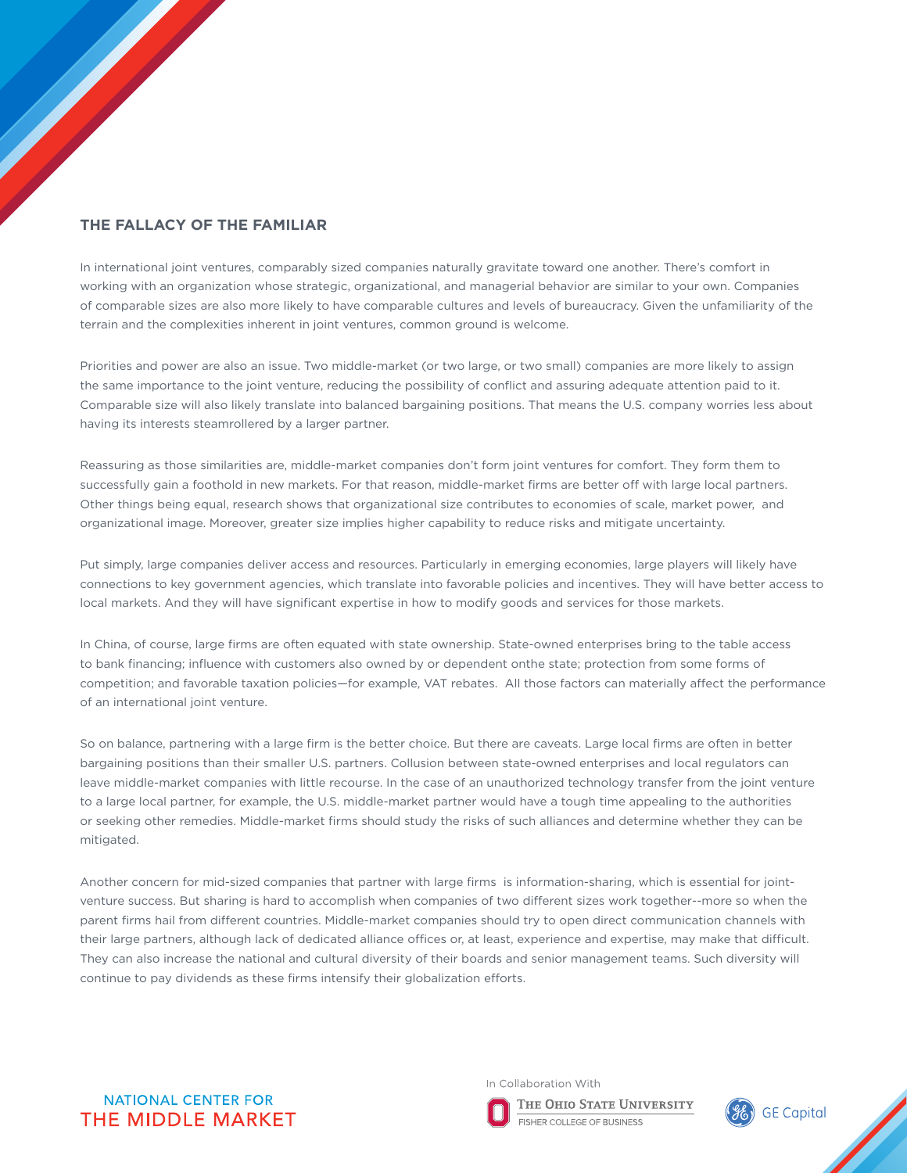## **The fallacy of the familiar**

In international joint ventures, comparably sized companies naturally gravitate toward one another. There's comfort in working with an organization whose strategic, organizational, and managerial behavior are similar to your own. Companies of comparable sizes are also more likely to have comparable cultures and levels of bureaucracy. Given the unfamiliarity of the terrain and the complexities inherent in joint ventures, common ground is welcome.

Priorities and power are also an issue. Two middle-market (or two large, or two small) companies are more likely to assign the same importance to the joint venture, reducing the possibility of conflict and assuring adequate attention paid to it. Comparable size will also likely translate into balanced bargaining positions. That means the U.S. company worries less about having its interests steamrollered by a larger partner.

Reassuring as those similarities are, middle-market companies don't form joint ventures for comfort. They form them to successfully gain a foothold in new markets. For that reason, middle-market firms are better off with large local partners. Other things being equal, research shows that organizational size contributes to economies of scale, market power, and organizational image. Moreover, greater size implies higher capability to reduce risks and mitigate uncertainty.

Put simply, large companies deliver access and resources. Particularly in emerging economies, large players will likely have connections to key government agencies, which translate into favorable policies and incentives. They will have better access to local markets. And they will have significant expertise in how to modify goods and services for those markets.

In China, of course, large firms are often equated with state ownership. State-owned enterprises bring to the table access to bank financing; influence with customers also owned by or dependent onthe state; protection from some forms of competition; and favorable taxation policies—for example, VAT rebates. All those factors can materially affect the performance of an international joint venture.

So on balance, partnering with a large firm is the better choice. But there are caveats. Large local firms are often in better bargaining positions than their smaller U.S. partners. Collusion between state-owned enterprises and local regulators can leave middle-market companies with little recourse. In the case of an unauthorized technology transfer from the joint venture to a large local partner, for example, the U.S. middle-market partner would have a tough time appealing to the authorities or seeking other remedies. Middle-market firms should study the risks of such alliances and determine whether they can be mitigated.

Another concern for mid-sized companies that partner with large firms is information-sharing, which is essential for jointventure success. But sharing is hard to accomplish when companies of two different sizes work together--more so when the parent firms hail from different countries. Middle-market companies should try to open direct communication channels with their large partners, although lack of dedicated alliance offices or, at least, experience and expertise, may make that difficult. They can also increase the national and cultural diversity of their boards and senior management teams. Such diversity will continue to pay dividends as these firms intensify their globalization efforts.



In Collaboration With

THE OHIO STATE UNIVERSITY FISHER COLLEGE OF BUSINESS